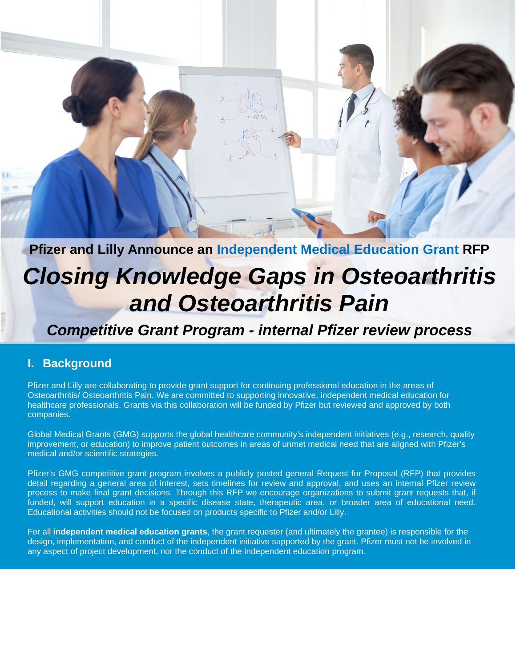# **Pfizer and Lilly Announce an Independent Medical Education Grant RFP** *Closing Knowledge Gaps in Osteoarthritis*

## *and Osteoarthritis Pain*

## *Competitive Grant Program - internal Pfizer review process*

#### **I. Background**

Pfizer and Lilly are collaborating to provide grant support for continuing professional education in the areas of Osteoarthritis/ Osteoarthritis Pain. We are committed to supporting innovative, independent medical education for healthcare professionals. Grants via this collaboration will be funded by Pfizer but reviewed and approved by both companies.

Global Medical Grants (GMG) supports the global healthcare community's independent initiatives (e.g., research, quality improvement, or education) to improve patient outcomes in areas of unmet medical need that are aligned with Pfizer's medical and/or scientific strategies.

Pfizer's GMG competitive grant program involves a publicly posted general Request for Proposal (RFP) that provides detail regarding a general area of interest, sets timelines for review and approval, and uses an internal Pfizer review process to make final grant decisions. Through this RFP we encourage organizations to submit grant requests that, if funded, will support education in a specific disease state, therapeutic area, or broader area of educational need. Educational activities should not be focused on products specific to Pfizer and/or Lilly.

For all **independent medical education grants**, the grant requester (and ultimately the grantee) is responsible for the design, implementation, and conduct of the independent initiative supported by the grant. Pfizer must not be involved in any aspect of project development, nor the conduct of the independent education program.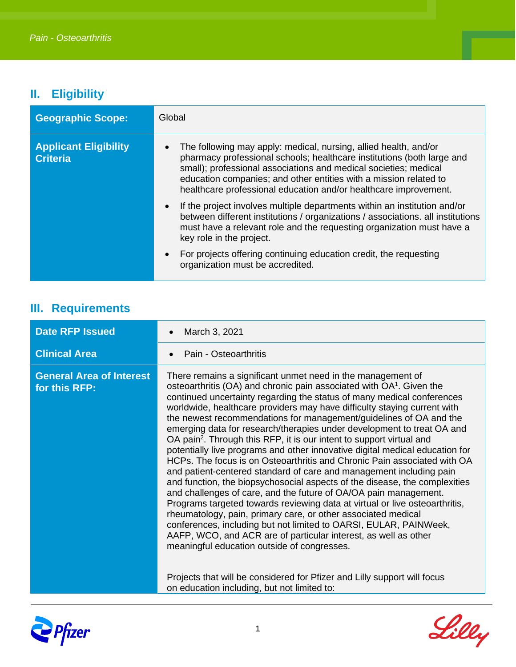### **II. Eligibility**

| <b>Geographic Scope:</b>                        | Global                                                                                                                                                                                                                                                                                                                                                  |
|-------------------------------------------------|---------------------------------------------------------------------------------------------------------------------------------------------------------------------------------------------------------------------------------------------------------------------------------------------------------------------------------------------------------|
| <b>Applicant Eligibility</b><br><b>Criteria</b> | The following may apply: medical, nursing, allied health, and/or<br>pharmacy professional schools; healthcare institutions (both large and<br>small); professional associations and medical societies; medical<br>education companies; and other entities with a mission related to<br>healthcare professional education and/or healthcare improvement. |
|                                                 | If the project involves multiple departments within an institution and/or<br>between different institutions / organizations / associations. all institutions<br>must have a relevant role and the requesting organization must have a<br>key role in the project.                                                                                       |
|                                                 | For projects offering continuing education credit, the requesting<br>organization must be accredited.                                                                                                                                                                                                                                                   |

### **III. Requirements**

| <b>Date RFP Issued</b>                           | March 3, 2021                                                                                                                                                                                                                                                                                                                                                                                                                                                                                                                                                                                                                                                                                                                                                                                                                                                                                                                                                                                                                                                                                                                                                                                                                                                                                                                                                                                    |
|--------------------------------------------------|--------------------------------------------------------------------------------------------------------------------------------------------------------------------------------------------------------------------------------------------------------------------------------------------------------------------------------------------------------------------------------------------------------------------------------------------------------------------------------------------------------------------------------------------------------------------------------------------------------------------------------------------------------------------------------------------------------------------------------------------------------------------------------------------------------------------------------------------------------------------------------------------------------------------------------------------------------------------------------------------------------------------------------------------------------------------------------------------------------------------------------------------------------------------------------------------------------------------------------------------------------------------------------------------------------------------------------------------------------------------------------------------------|
| <b>Clinical Area</b>                             | Pain - Osteoarthritis                                                                                                                                                                                                                                                                                                                                                                                                                                                                                                                                                                                                                                                                                                                                                                                                                                                                                                                                                                                                                                                                                                                                                                                                                                                                                                                                                                            |
| <b>General Area of Interest</b><br>for this RFP: | There remains a significant unmet need in the management of<br>osteoarthritis (OA) and chronic pain associated with OA <sup>1</sup> . Given the<br>continued uncertainty regarding the status of many medical conferences<br>worldwide, healthcare providers may have difficulty staying current with<br>the newest recommendations for management/guidelines of OA and the<br>emerging data for research/therapies under development to treat OA and<br>OA pain <sup>2</sup> . Through this RFP, it is our intent to support virtual and<br>potentially live programs and other innovative digital medical education for<br>HCPs. The focus is on Osteoarthritis and Chronic Pain associated with OA<br>and patient-centered standard of care and management including pain<br>and function, the biopsychosocial aspects of the disease, the complexities<br>and challenges of care, and the future of OA/OA pain management.<br>Programs targeted towards reviewing data at virtual or live osteoarthritis,<br>rheumatology, pain, primary care, or other associated medical<br>conferences, including but not limited to OARSI, EULAR, PAINWeek,<br>AAFP, WCO, and ACR are of particular interest, as well as other<br>meaningful education outside of congresses.<br>Projects that will be considered for Pfizer and Lilly support will focus<br>on education including, but not limited to: |



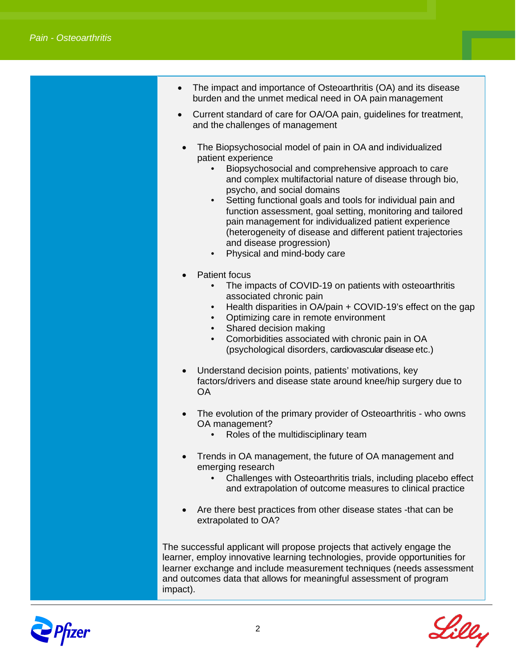- The impact and importance of Osteoarthritis (OA) and its disease burden and the unmet medical need in OA pain management
- Current standard of care for OA/OA pain, guidelines for treatment, and the challenges of management
- The Biopsychosocial model of pain in OA and individualized patient experience
	- Biopsychosocial and comprehensive approach to care and complex multifactorial nature of disease through bio, psycho, and social domains
	- Setting functional goals and tools for individual pain and function assessment, goal setting, monitoring and tailored pain management for individualized patient experience (heterogeneity of disease and different patient trajectories and disease progression)
	- Physical and mind-body care
- Patient focus
	- The impacts of COVID-19 on patients with osteoarthritis associated chronic pain
	- Health disparities in OA/pain + COVID-19's effect on the gap
	- Optimizing care in remote environment
	- Shared decision making
	- Comorbidities associated with chronic pain in OA (psychological disorders, cardiovascular disease etc.)
- Understand decision points, patients' motivations, key factors/drivers and disease state around knee/hip surgery due to OA
- The evolution of the primary provider of Osteoarthritis who owns OA management?
	- Roles of the multidisciplinary team
- Trends in OA management, the future of OA management and emerging research
	- Challenges with Osteoarthritis trials, including placebo effect and extrapolation of outcome measures to clinical practice
- Are there best practices from other disease states -that can be extrapolated to OA?

The successful applicant will propose projects that actively engage the learner, employ innovative learning technologies, provide opportunities for learner exchange and include measurement techniques (needs assessment and outcomes data that allows for meaningful assessment of program impact).



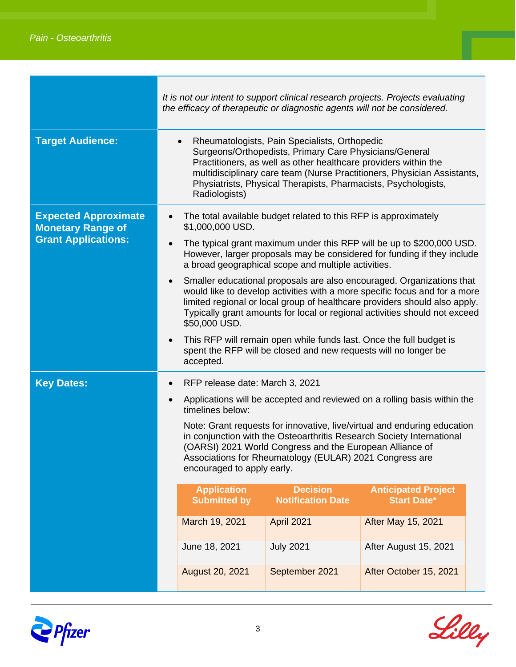|                                                                                       | It is not our intent to support clinical research projects. Projects evaluating<br>the efficacy of therapeutic or diagnostic agents will not be considered.                                                                                                                                                                                           |                                                                                                                                                                                                                                                                                                                                  |                                                                                                                     |                                                                                                                                                   |  |  |
|---------------------------------------------------------------------------------------|-------------------------------------------------------------------------------------------------------------------------------------------------------------------------------------------------------------------------------------------------------------------------------------------------------------------------------------------------------|----------------------------------------------------------------------------------------------------------------------------------------------------------------------------------------------------------------------------------------------------------------------------------------------------------------------------------|---------------------------------------------------------------------------------------------------------------------|---------------------------------------------------------------------------------------------------------------------------------------------------|--|--|
| <b>Target Audience:</b>                                                               | Rheumatologists, Pain Specialists, Orthopedic<br>$\bullet$<br>Surgeons/Orthopedists, Primary Care Physicians/General<br>Practitioners, as well as other healthcare providers within the<br>multidisciplinary care team (Nurse Practitioners, Physician Assistants,<br>Physiatrists, Physical Therapists, Pharmacists, Psychologists,<br>Radiologists) |                                                                                                                                                                                                                                                                                                                                  |                                                                                                                     |                                                                                                                                                   |  |  |
| <b>Expected Approximate</b><br><b>Monetary Range of</b><br><b>Grant Applications:</b> |                                                                                                                                                                                                                                                                                                                                                       | The total available budget related to this RFP is approximately<br>\$1,000,000 USD.<br>The typical grant maximum under this RFP will be up to \$200,000 USD.<br>However, larger proposals may be considered for funding if they include<br>a broad geographical scope and multiple activities.                                   |                                                                                                                     |                                                                                                                                                   |  |  |
|                                                                                       |                                                                                                                                                                                                                                                                                                                                                       | Smaller educational proposals are also encouraged. Organizations that<br>would like to develop activities with a more specific focus and for a more<br>limited regional or local group of healthcare providers should also apply.<br>Typically grant amounts for local or regional activities should not exceed<br>\$50,000 USD. |                                                                                                                     |                                                                                                                                                   |  |  |
|                                                                                       |                                                                                                                                                                                                                                                                                                                                                       | This RFP will remain open while funds last. Once the full budget is<br>spent the RFP will be closed and new requests will no longer be<br>accepted.                                                                                                                                                                              |                                                                                                                     |                                                                                                                                                   |  |  |
| <b>Key Dates:</b>                                                                     | RFP release date: March 3, 2021<br>$\bullet$                                                                                                                                                                                                                                                                                                          |                                                                                                                                                                                                                                                                                                                                  |                                                                                                                     |                                                                                                                                                   |  |  |
|                                                                                       |                                                                                                                                                                                                                                                                                                                                                       | timelines below:                                                                                                                                                                                                                                                                                                                 |                                                                                                                     | Applications will be accepted and reviewed on a rolling basis within the                                                                          |  |  |
|                                                                                       |                                                                                                                                                                                                                                                                                                                                                       | encouraged to apply early.                                                                                                                                                                                                                                                                                                       | (OARSI) 2021 World Congress and the European Alliance of<br>Associations for Rheumatology (EULAR) 2021 Congress are | Note: Grant requests for innovative, live/virtual and enduring education<br>in conjunction with the Osteoarthritis Research Society International |  |  |
|                                                                                       |                                                                                                                                                                                                                                                                                                                                                       | <b>Application</b><br><b>Submitted by</b>                                                                                                                                                                                                                                                                                        | <b>Decision</b><br><b>Notification Date</b>                                                                         | <b>Anticipated Project</b><br><b>Start Date*</b>                                                                                                  |  |  |
|                                                                                       |                                                                                                                                                                                                                                                                                                                                                       | March 19, 2021                                                                                                                                                                                                                                                                                                                   | <b>April 2021</b>                                                                                                   | <b>After May 15, 2021</b>                                                                                                                         |  |  |
|                                                                                       |                                                                                                                                                                                                                                                                                                                                                       | June 18, 2021                                                                                                                                                                                                                                                                                                                    | <b>July 2021</b>                                                                                                    | After August 15, 2021                                                                                                                             |  |  |
|                                                                                       |                                                                                                                                                                                                                                                                                                                                                       | August 20, 2021                                                                                                                                                                                                                                                                                                                  | September 2021                                                                                                      | After October 15, 2021                                                                                                                            |  |  |



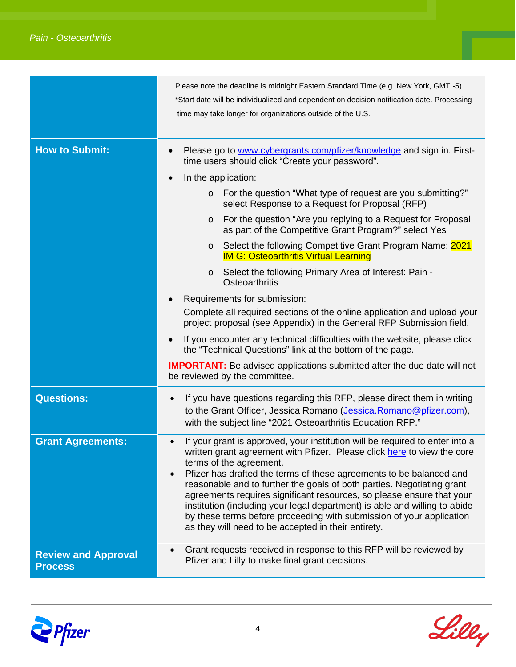|                                              | Please note the deadline is midnight Eastern Standard Time (e.g. New York, GMT -5).<br>*Start date will be individualized and dependent on decision notification date. Processing<br>time may take longer for organizations outside of the U.S.                                                                                                                                                                                                                                                                                                                                                                                                     |  |  |  |
|----------------------------------------------|-----------------------------------------------------------------------------------------------------------------------------------------------------------------------------------------------------------------------------------------------------------------------------------------------------------------------------------------------------------------------------------------------------------------------------------------------------------------------------------------------------------------------------------------------------------------------------------------------------------------------------------------------------|--|--|--|
| <b>How to Submit:</b>                        | Please go to www.cybergrants.com/pfizer/knowledge and sign in. First-<br>time users should click "Create your password".<br>In the application:<br>$\bullet$                                                                                                                                                                                                                                                                                                                                                                                                                                                                                        |  |  |  |
|                                              |                                                                                                                                                                                                                                                                                                                                                                                                                                                                                                                                                                                                                                                     |  |  |  |
|                                              | For the question "What type of request are you submitting?"<br>$\circ$<br>select Response to a Request for Proposal (RFP)                                                                                                                                                                                                                                                                                                                                                                                                                                                                                                                           |  |  |  |
|                                              | For the question "Are you replying to a Request for Proposal<br>$\circ$<br>as part of the Competitive Grant Program?" select Yes                                                                                                                                                                                                                                                                                                                                                                                                                                                                                                                    |  |  |  |
|                                              | Select the following Competitive Grant Program Name: 2021<br>$\circ$<br><b>IM G: Osteoarthritis Virtual Learning</b>                                                                                                                                                                                                                                                                                                                                                                                                                                                                                                                                |  |  |  |
|                                              | Select the following Primary Area of Interest: Pain -<br>$\circ$<br><b>Osteoarthritis</b>                                                                                                                                                                                                                                                                                                                                                                                                                                                                                                                                                           |  |  |  |
|                                              | Requirements for submission:                                                                                                                                                                                                                                                                                                                                                                                                                                                                                                                                                                                                                        |  |  |  |
|                                              | Complete all required sections of the online application and upload your<br>project proposal (see Appendix) in the General RFP Submission field.                                                                                                                                                                                                                                                                                                                                                                                                                                                                                                    |  |  |  |
|                                              | If you encounter any technical difficulties with the website, please click<br>$\bullet$<br>the "Technical Questions" link at the bottom of the page.                                                                                                                                                                                                                                                                                                                                                                                                                                                                                                |  |  |  |
|                                              | <b>IMPORTANT:</b> Be advised applications submitted after the due date will not<br>be reviewed by the committee.                                                                                                                                                                                                                                                                                                                                                                                                                                                                                                                                    |  |  |  |
| <b>Questions:</b>                            | If you have questions regarding this RFP, please direct them in writing<br>$\bullet$<br>to the Grant Officer, Jessica Romano (Jessica. Romano@pfizer.com),<br>with the subject line "2021 Osteoarthritis Education RFP."                                                                                                                                                                                                                                                                                                                                                                                                                            |  |  |  |
| <b>Grant Agreements:</b>                     | If your grant is approved, your institution will be required to enter into a<br>$\bullet$<br>written grant agreement with Pfizer. Please click here to view the core<br>terms of the agreement.<br>Pfizer has drafted the terms of these agreements to be balanced and<br>$\bullet$<br>reasonable and to further the goals of both parties. Negotiating grant<br>agreements requires significant resources, so please ensure that your<br>institution (including your legal department) is able and willing to abide<br>by these terms before proceeding with submission of your application<br>as they will need to be accepted in their entirety. |  |  |  |
| <b>Review and Approval</b><br><b>Process</b> | Grant requests received in response to this RFP will be reviewed by<br>Pfizer and Lilly to make final grant decisions.                                                                                                                                                                                                                                                                                                                                                                                                                                                                                                                              |  |  |  |



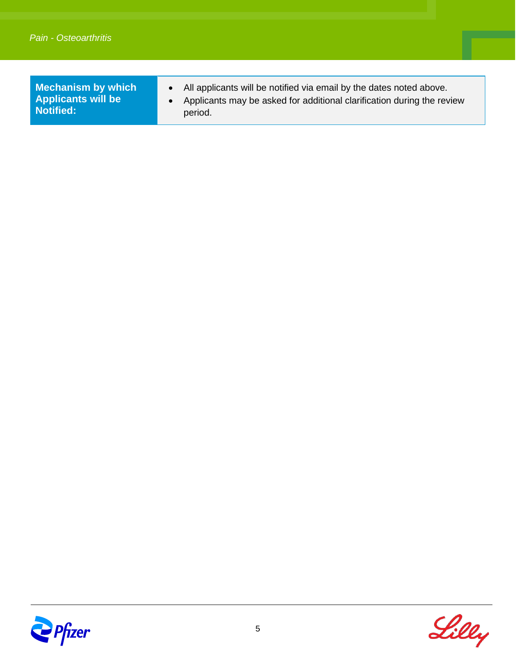**Mechanism by which Applicants will be Notified:**

- All applicants will be notified via email by the dates noted above.
- Applicants may be asked for additional clarification during the review period.



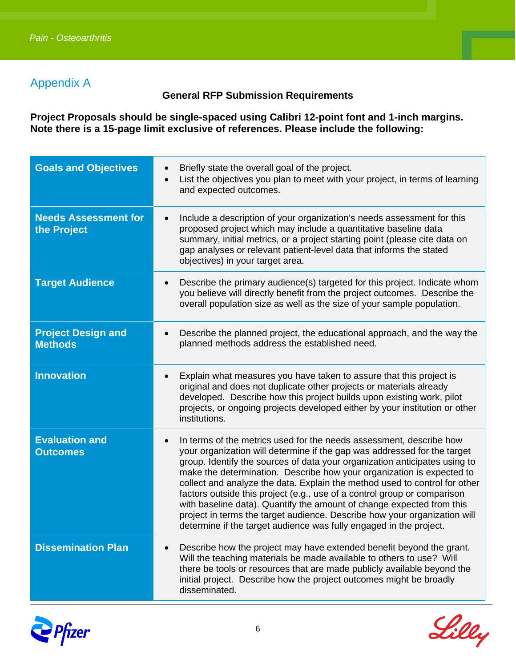#### Appendix A

#### **General RFP Submission Requirements**

**Project Proposals should be single-spaced using Calibri 12-point font and 1-inch margins. Note there is a 15-page limit exclusive of references. Please include the following:**

| <b>Goals and Objectives</b>                 | Briefly state the overall goal of the project.<br>List the objectives you plan to meet with your project, in terms of learning<br>$\bullet$<br>and expected outcomes.                                                                                                                                                                                                                                                                                                                                                                                                                                                                                                                                     |
|---------------------------------------------|-----------------------------------------------------------------------------------------------------------------------------------------------------------------------------------------------------------------------------------------------------------------------------------------------------------------------------------------------------------------------------------------------------------------------------------------------------------------------------------------------------------------------------------------------------------------------------------------------------------------------------------------------------------------------------------------------------------|
| <b>Needs Assessment for</b><br>the Project  | Include a description of your organization's needs assessment for this<br>$\bullet$<br>proposed project which may include a quantitative baseline data<br>summary, initial metrics, or a project starting point (please cite data on<br>gap analyses or relevant patient-level data that informs the stated<br>objectives) in your target area.                                                                                                                                                                                                                                                                                                                                                           |
| <b>Target Audience</b>                      | Describe the primary audience(s) targeted for this project. Indicate whom<br>$\bullet$<br>you believe will directly benefit from the project outcomes. Describe the<br>overall population size as well as the size of your sample population.                                                                                                                                                                                                                                                                                                                                                                                                                                                             |
| <b>Project Design and</b><br><b>Methods</b> | Describe the planned project, the educational approach, and the way the<br>$\bullet$<br>planned methods address the established need.                                                                                                                                                                                                                                                                                                                                                                                                                                                                                                                                                                     |
| <b>Innovation</b>                           | Explain what measures you have taken to assure that this project is<br>original and does not duplicate other projects or materials already<br>developed. Describe how this project builds upon existing work, pilot<br>projects, or ongoing projects developed either by your institution or other<br>institutions.                                                                                                                                                                                                                                                                                                                                                                                       |
| <b>Evaluation and</b><br><b>Outcomes</b>    | In terms of the metrics used for the needs assessment, describe how<br>$\bullet$<br>your organization will determine if the gap was addressed for the target<br>group. Identify the sources of data your organization anticipates using to<br>make the determination. Describe how your organization is expected to<br>collect and analyze the data. Explain the method used to control for other<br>factors outside this project (e.g., use of a control group or comparison<br>with baseline data). Quantify the amount of change expected from this<br>project in terms the target audience. Describe how your organization will<br>determine if the target audience was fully engaged in the project. |
| <b>Dissemination Plan</b>                   | Describe how the project may have extended benefit beyond the grant.<br>Will the teaching materials be made available to others to use? Will<br>there be tools or resources that are made publicly available beyond the<br>initial project. Describe how the project outcomes might be broadly<br>disseminated.                                                                                                                                                                                                                                                                                                                                                                                           |